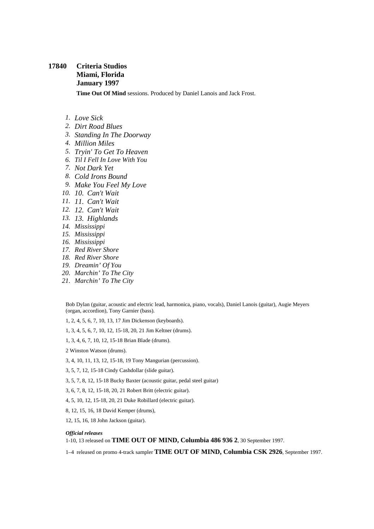## **17840 Criteria Studios Miami, Florida January 1997**

**Time Out Of Mind** sessions. Produced by Daniel Lanois and Jack Frost.

- *1. Love Sick*
- *2. Dirt Road Blues*
- *3. Standing In The Doorway*
- *4. Million Miles*
- *5. Tryin' To Get To Heaven*
- *6. Til I Fell In Love With You*
- *7. Not Dark Yet*
- *8. Cold Irons Bound*
- *9. Make You Feel My Love*
- *10. 10. Can't Wait*
- *11. 11. Can't Wait*
- *12. 12. Can't Wait*
- *13. 13. Highlands*
- *14. Mississippi*
- *15. Mississippi*
- *16. Mississippi*
- *17. Red River Shore*
- *18. Red River Shore*
- *19. Dreamin' Of You*
- *20. Marchin' To The City*
- *21. Marchin' To The City*

Bob Dylan (guitar, acoustic and electric lead, harmonica, piano, vocals), Daniel Lanois (guitar), Augie Meyers (organ, accordion), Tony Garnier (bass).

1, 2, 4, 5, 6, 7, 10, 13, 17 Jim Dickenson (keyboards).

1, 3, 4, 5, 6, 7, 10, 12, 15-18, 20, 21 Jim Keltner (drums).

1, 3, 4, 6, 7, 10, 12, 15-18 Brian Blade (drums).

2 Winston Watson (drums).

3, 4, 10, 11, 13, 12, 15-18, 19 Tony Mangurian (percussion).

3, 5, 7, 12, 15-18 Cindy Cashdollar (slide guitar).

3, 5, 7, 8, 12, 15-18 Bucky Baxter (acoustic guitar, pedal steel guitar)

3, 6, 7, 8, 12, 15-18, 20, 21 Robert Britt (electric guitar).

4, 5, 10, 12, 15-18, 20, 21 Duke Robillard (electric guitar).

8, 12, 15, 16, 18 David Kemper (drums),

12, 15, 16, 18 John Jackson (guitar).

## *Official releases*

1-10, 13 released on **TIME OUT OF MIND, Columbia 486 936 2**, 30 September 1997.

1–4 released on promo 4-track sampler **TIME OUT OF MIND, Columbia CSK 2926**, September 1997.